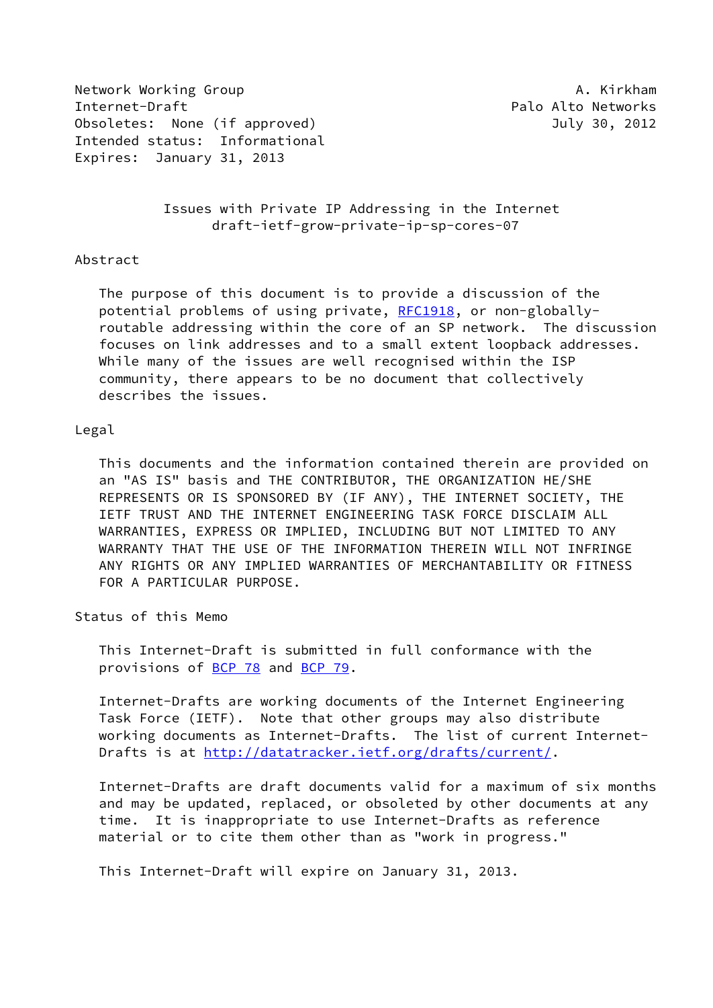Network Working Group **A. Kirkham** Internet-Draft **Palo Alto Networks** Obsoletes: None (if approved) and the control of the July 30, 2012 Intended status: Informational Expires: January 31, 2013

 Issues with Private IP Addressing in the Internet draft-ietf-grow-private-ip-sp-cores-07

### Abstract

 The purpose of this document is to provide a discussion of the potential problems of using private, [RFC1918](https://datatracker.ietf.org/doc/pdf/rfc1918), or non-globally routable addressing within the core of an SP network. The discussion focuses on link addresses and to a small extent loopback addresses. While many of the issues are well recognised within the ISP community, there appears to be no document that collectively describes the issues.

### Legal

 This documents and the information contained therein are provided on an "AS IS" basis and THE CONTRIBUTOR, THE ORGANIZATION HE/SHE REPRESENTS OR IS SPONSORED BY (IF ANY), THE INTERNET SOCIETY, THE IETF TRUST AND THE INTERNET ENGINEERING TASK FORCE DISCLAIM ALL WARRANTIES, EXPRESS OR IMPLIED, INCLUDING BUT NOT LIMITED TO ANY WARRANTY THAT THE USE OF THE INFORMATION THEREIN WILL NOT INFRINGE ANY RIGHTS OR ANY IMPLIED WARRANTIES OF MERCHANTABILITY OR FITNESS FOR A PARTICULAR PURPOSE.

Status of this Memo

 This Internet-Draft is submitted in full conformance with the provisions of [BCP 78](https://datatracker.ietf.org/doc/pdf/bcp78) and [BCP 79](https://datatracker.ietf.org/doc/pdf/bcp79).

 Internet-Drafts are working documents of the Internet Engineering Task Force (IETF). Note that other groups may also distribute working documents as Internet-Drafts. The list of current Internet Drafts is at<http://datatracker.ietf.org/drafts/current/>.

 Internet-Drafts are draft documents valid for a maximum of six months and may be updated, replaced, or obsoleted by other documents at any time. It is inappropriate to use Internet-Drafts as reference material or to cite them other than as "work in progress."

This Internet-Draft will expire on January 31, 2013.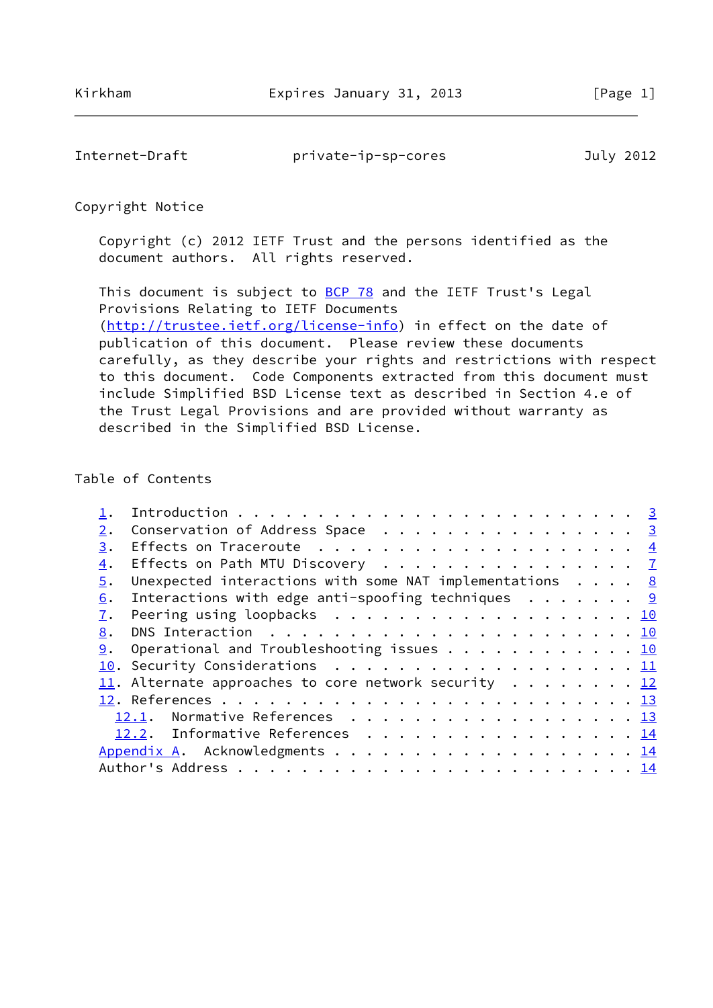Internet-Draft private-ip-sp-cores July 2012

## Copyright Notice

 Copyright (c) 2012 IETF Trust and the persons identified as the document authors. All rights reserved.

This document is subject to **[BCP 78](https://datatracker.ietf.org/doc/pdf/bcp78)** and the IETF Trust's Legal Provisions Relating to IETF Documents [\(http://trustee.ietf.org/license-info](http://trustee.ietf.org/license-info)) in effect on the date of publication of this document. Please review these documents carefully, as they describe your rights and restrictions with respect to this document. Code Components extracted from this document must include Simplified BSD License text as described in Section 4.e of the Trust Legal Provisions and are provided without warranty as described in the Simplified BSD License.

# Table of Contents

| 2. | Conservation of Address Space $\cdots$ 3                          |  |
|----|-------------------------------------------------------------------|--|
| 3. |                                                                   |  |
| 4. | Effects on Path MTU Discovery 7                                   |  |
| 5. | Unexpected interactions with some NAT implementations $\cdots$ 8  |  |
| 6. | Interactions with edge anti-spoofing techniques $\cdots \cdots$ 9 |  |
| 7. | Peering using loopbacks 10                                        |  |
| 8. |                                                                   |  |
| 9. | Operational and Troubleshooting issues 10                         |  |
|    | 10. Security Considerations 11                                    |  |
|    | 11. Alternate approaches to core network security 12              |  |
|    |                                                                   |  |
|    | 12.1. Normative References 13                                     |  |
|    | 12.2. Informative References 14                                   |  |
|    | Appendix A. Acknowledgments 14                                    |  |
|    |                                                                   |  |
|    |                                                                   |  |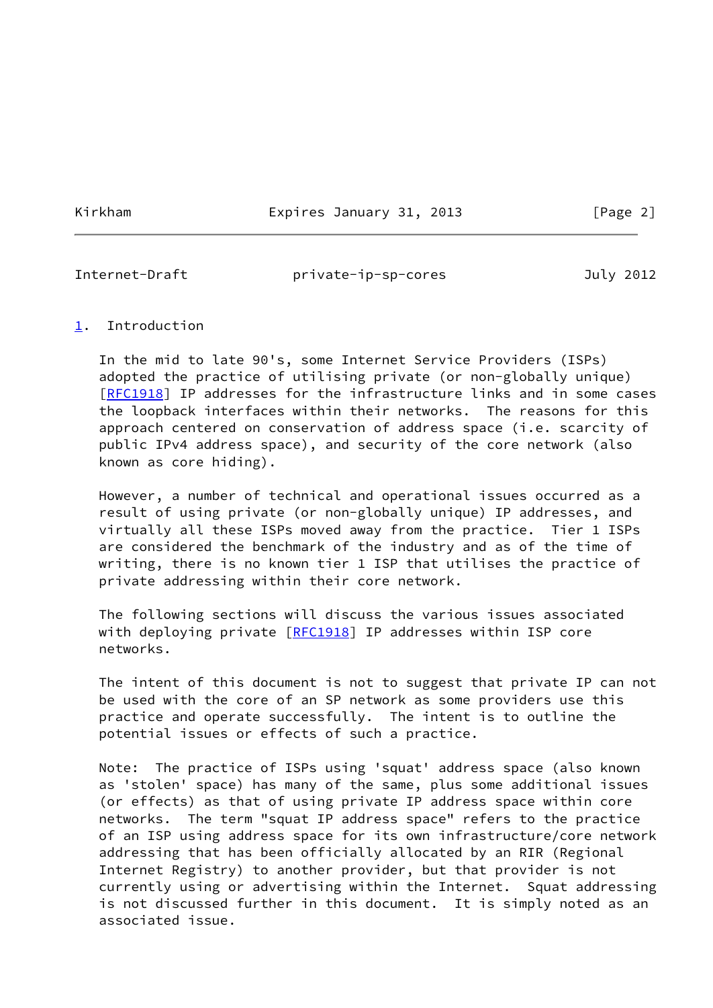Kirkham **Expires January 31, 2013** [Page 2]

<span id="page-2-1"></span>

Internet-Draft private-ip-sp-cores July 2012

## <span id="page-2-0"></span>[1](#page-2-0). Introduction

 In the mid to late 90's, some Internet Service Providers (ISPs) adopted the practice of utilising private (or non-globally unique) [\[RFC1918](https://datatracker.ietf.org/doc/pdf/rfc1918)] IP addresses for the infrastructure links and in some cases the loopback interfaces within their networks. The reasons for this approach centered on conservation of address space (i.e. scarcity of public IPv4 address space), and security of the core network (also known as core hiding).

 However, a number of technical and operational issues occurred as a result of using private (or non-globally unique) IP addresses, and virtually all these ISPs moved away from the practice. Tier 1 ISPs are considered the benchmark of the industry and as of the time of writing, there is no known tier 1 ISP that utilises the practice of private addressing within their core network.

 The following sections will discuss the various issues associated with deploying private [\[RFC1918](https://datatracker.ietf.org/doc/pdf/rfc1918)] IP addresses within ISP core networks.

 The intent of this document is not to suggest that private IP can not be used with the core of an SP network as some providers use this practice and operate successfully. The intent is to outline the potential issues or effects of such a practice.

 Note: The practice of ISPs using 'squat' address space (also known as 'stolen' space) has many of the same, plus some additional issues (or effects) as that of using private IP address space within core networks. The term "squat IP address space" refers to the practice of an ISP using address space for its own infrastructure/core network addressing that has been officially allocated by an RIR (Regional Internet Registry) to another provider, but that provider is not currently using or advertising within the Internet. Squat addressing is not discussed further in this document. It is simply noted as an associated issue.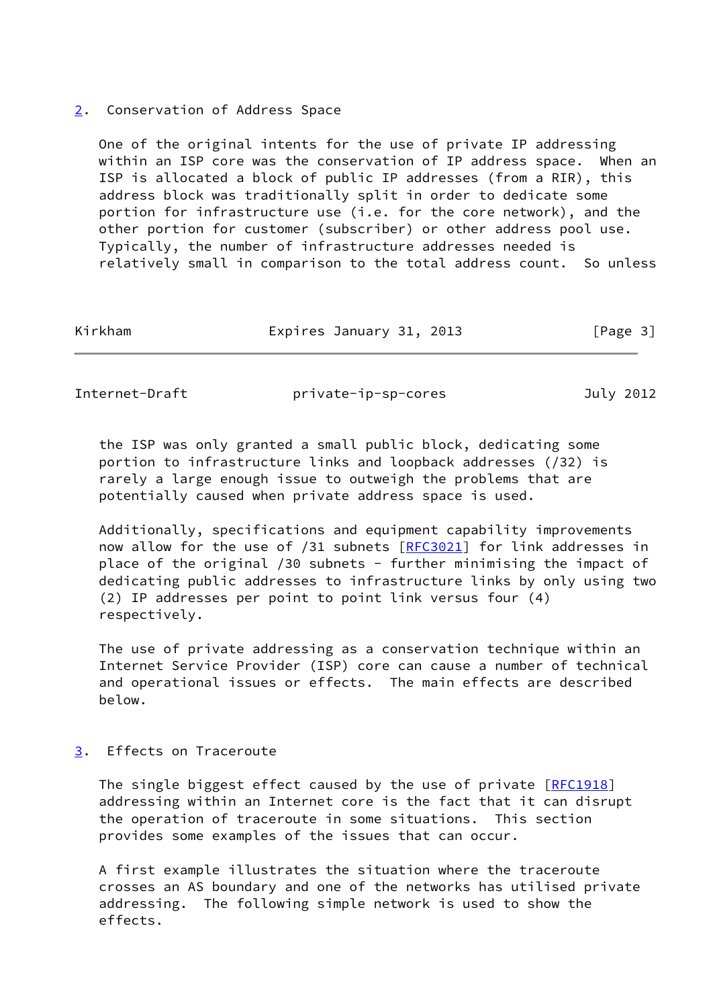### <span id="page-3-0"></span>[2](#page-3-0). Conservation of Address Space

 One of the original intents for the use of private IP addressing within an ISP core was the conservation of IP address space. When an ISP is allocated a block of public IP addresses (from a RIR), this address block was traditionally split in order to dedicate some portion for infrastructure use (i.e. for the core network), and the other portion for customer (subscriber) or other address pool use. Typically, the number of infrastructure addresses needed is relatively small in comparison to the total address count. So unless

| Kirkham | Expires January 31, 2013 | [Page 3] |
|---------|--------------------------|----------|
|         |                          |          |

<span id="page-3-2"></span>Internet-Draft private-ip-sp-cores July 2012

 the ISP was only granted a small public block, dedicating some portion to infrastructure links and loopback addresses (/32) is rarely a large enough issue to outweigh the problems that are potentially caused when private address space is used.

 Additionally, specifications and equipment capability improvements now allow for the use of /31 subnets [\[RFC3021](https://datatracker.ietf.org/doc/pdf/rfc3021)] for link addresses in place of the original /30 subnets - further minimising the impact of dedicating public addresses to infrastructure links by only using two (2) IP addresses per point to point link versus four (4) respectively.

 The use of private addressing as a conservation technique within an Internet Service Provider (ISP) core can cause a number of technical and operational issues or effects. The main effects are described below.

# <span id="page-3-1"></span>[3](#page-3-1). Effects on Traceroute

The single biggest effect caused by the use of private [\[RFC1918](https://datatracker.ietf.org/doc/pdf/rfc1918)] addressing within an Internet core is the fact that it can disrupt the operation of traceroute in some situations. This section provides some examples of the issues that can occur.

 A first example illustrates the situation where the traceroute crosses an AS boundary and one of the networks has utilised private addressing. The following simple network is used to show the effects.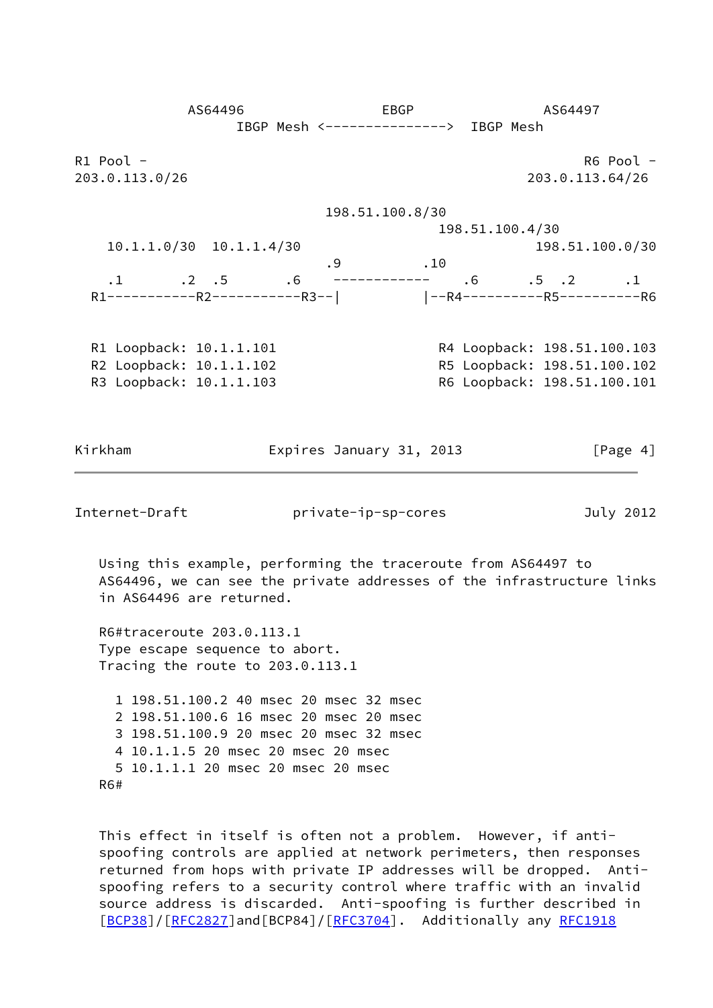AS64496 EBGP AS64497 IBGP Mesh <---------------> IBGP Mesh R1 Pool - R6 Pool - R6 Pool - R6 Pool - R6 Pool - R6 Pool - R6 Pool - R6 Pool - R6 Pool - R6 Pool - R6 Pool -203.0.113.0/26 203.0.113.64/26 198.51.100.8/30 198.51.100.4/30 10.1.1.0/30 10.1.1.4/30 198.51.100.0/30 .9 .10 .1 .2 .5 .6 ------------ .6 .5 .2 .1 R1-----------R2-----------R3--| |--R4----------R5----------R6 R1 Loopback: 10.1.1.101 R4 Loopback: 198.51.100.103 R2 Loopback: 10.1.1.102 R5 Loopback: 198.51.100.102 R3 Loopback: 10.1.1.103 R6 Loopback: 198.51.100.101 Kirkham **Expires January 31, 2013** [Page 4] Internet-Draft private-ip-sp-cores July 2012 Using this example, performing the traceroute from AS64497 to AS64496, we can see the private addresses of the infrastructure links in AS64496 are returned. R6#traceroute 203.0.113.1 Type escape sequence to abort. Tracing the route to 203.0.113.1 1 198.51.100.2 40 msec 20 msec 32 msec 2 198.51.100.6 16 msec 20 msec 20 msec 3 198.51.100.9 20 msec 20 msec 32 msec 4 10.1.1.5 20 msec 20 msec 20 msec 5 10.1.1.1 20 msec 20 msec 20 msec R6#

 This effect in itself is often not a problem. However, if anti spoofing controls are applied at network perimeters, then responses returned from hops with private IP addresses will be dropped. Anti spoofing refers to a security control where traffic with an invalid source address is discarded. Anti-spoofing is further described in [\[BCP38](#page-14-3)]/[\[RFC2827](https://datatracker.ietf.org/doc/pdf/rfc2827)]and[BCP84]/[\[RFC3704](https://datatracker.ietf.org/doc/pdf/rfc3704)]. Additionally any [RFC1918](https://datatracker.ietf.org/doc/pdf/rfc1918)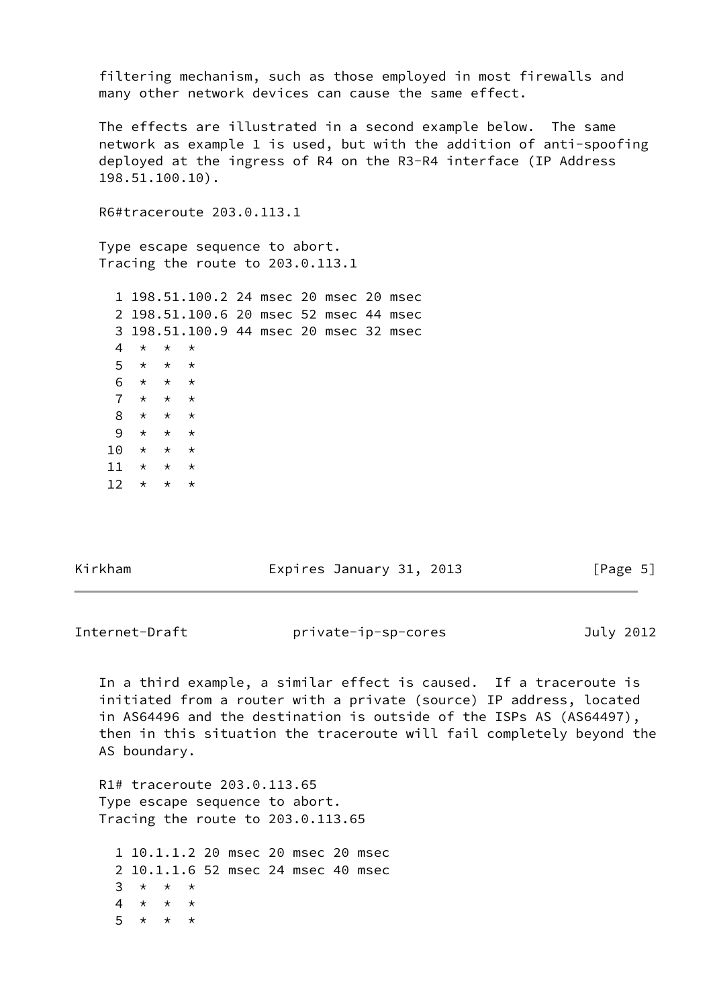filtering mechanism, such as those employed in most firewalls and many other network devices can cause the same effect.

 The effects are illustrated in a second example below. The same network as example 1 is used, but with the addition of anti-spoofing deployed at the ingress of R4 on the R3-R4 interface (IP Address 198.51.100.10).

R6#traceroute 203.0.113.1

 Type escape sequence to abort. Tracing the route to 203.0.113.1

|     |                          |                         | 1 198.51.100.2 24 msec 20 msec 20 msec |  |  |  |
|-----|--------------------------|-------------------------|----------------------------------------|--|--|--|
|     |                          |                         | 2 198.51.100.6 20 msec 52 msec 44 msec |  |  |  |
|     |                          |                         | 3 198.51.100.9 44 msec 20 msec 32 msec |  |  |  |
| 4   | $\star$ $\star$          |                         | $\star$                                |  |  |  |
|     | $5 \times \times \times$ |                         |                                        |  |  |  |
| 6.  |                          | $\star$ $\star$ $\star$ |                                        |  |  |  |
| 7   |                          | * * *                   |                                        |  |  |  |
| 8   | $\star$ $\star$          |                         | $\star$                                |  |  |  |
| 9   |                          | $\star$ $\star$         | $\star$                                |  |  |  |
| 1 O | $\star$ $\star$          |                         | $\star$                                |  |  |  |
| 11  | $\star$ $\star$          |                         | $\star$                                |  |  |  |
| 12  | $^\star$                 | $\star$                 | $^\star$                               |  |  |  |

Kirkham **Expires January 31, 2013** [Page 5]

Internet-Draft private-ip-sp-cores July 2012

 In a third example, a similar effect is caused. If a traceroute is initiated from a router with a private (source) IP address, located in AS64496 and the destination is outside of the ISPs AS (AS64497), then in this situation the traceroute will fail completely beyond the AS boundary.

 R1# traceroute 203.0.113.65 Type escape sequence to abort. Tracing the route to 203.0.113.65

 1 10.1.1.2 20 msec 20 msec 20 msec 2 10.1.1.6 52 msec 24 msec 40 msec  $3 \times \times \times$ 4  $\star$   $\star$   $\star$  $5 \times \times \times$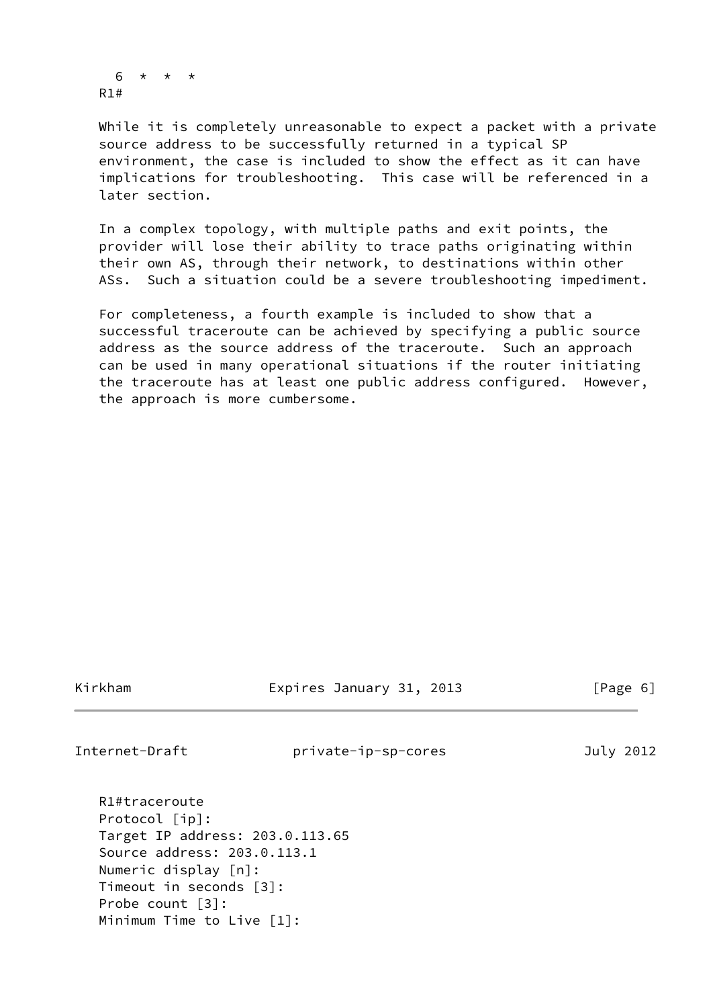$6 * * * *$ R1#

 While it is completely unreasonable to expect a packet with a private source address to be successfully returned in a typical SP environment, the case is included to show the effect as it can have implications for troubleshooting. This case will be referenced in a later section.

 In a complex topology, with multiple paths and exit points, the provider will lose their ability to trace paths originating within their own AS, through their network, to destinations within other ASs. Such a situation could be a severe troubleshooting impediment.

 For completeness, a fourth example is included to show that a successful traceroute can be achieved by specifying a public source address as the source address of the traceroute. Such an approach can be used in many operational situations if the router initiating the traceroute has at least one public address configured. However, the approach is more cumbersome.

Kirkham Expires January 31, 2013 [Page 6]

<span id="page-6-0"></span>

Internet-Draft private-ip-sp-cores July 2012

 R1#traceroute Protocol [ip]: Target IP address: 203.0.113.65 Source address: 203.0.113.1 Numeric display [n]: Timeout in seconds [3]: Probe count [3]: Minimum Time to Live [1]: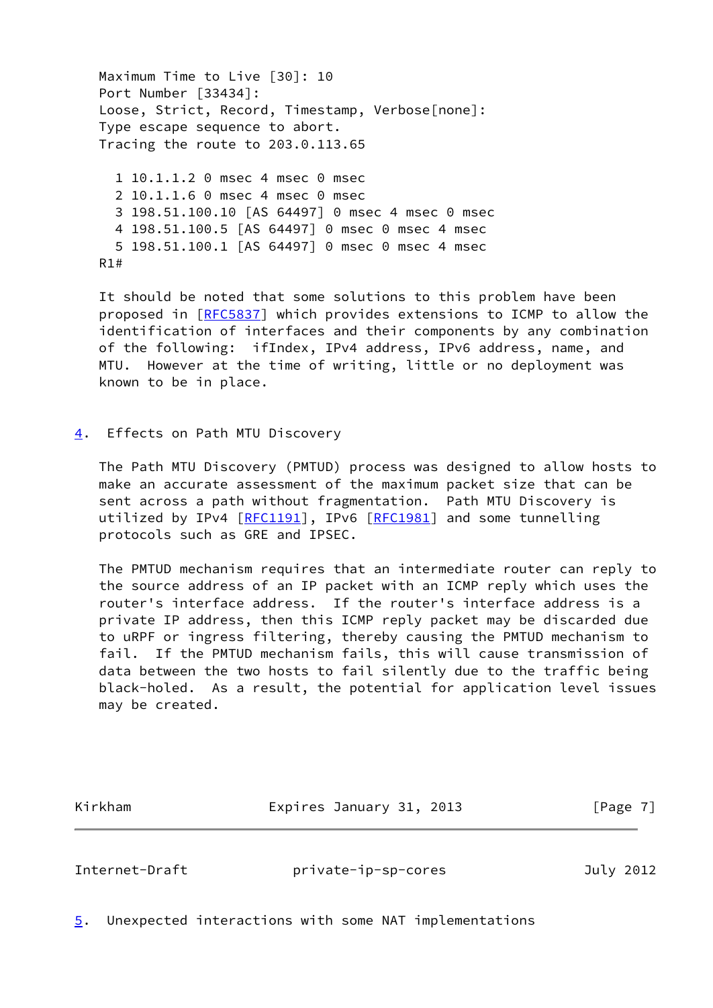Maximum Time to Live [30]: 10 Port Number [33434]: Loose, Strict, Record, Timestamp, Verbose[none]: Type escape sequence to abort. Tracing the route to 203.0.113.65

 1 10.1.1.2 0 msec 4 msec 0 msec 2 10.1.1.6 0 msec 4 msec 0 msec 3 198.51.100.10 [AS 64497] 0 msec 4 msec 0 msec 4 198.51.100.5 [AS 64497] 0 msec 0 msec 4 msec 5 198.51.100.1 [AS 64497] 0 msec 0 msec 4 msec R1#

 It should be noted that some solutions to this problem have been proposed in [\[RFC5837](https://datatracker.ietf.org/doc/pdf/rfc5837)] which provides extensions to ICMP to allow the identification of interfaces and their components by any combination of the following: ifIndex, IPv4 address, IPv6 address, name, and MTU. However at the time of writing, little or no deployment was known to be in place.

<span id="page-7-0"></span>[4](#page-7-0). Effects on Path MTU Discovery

 The Path MTU Discovery (PMTUD) process was designed to allow hosts to make an accurate assessment of the maximum packet size that can be sent across a path without fragmentation. Path MTU Discovery is utilized by IPv4 [\[RFC1191](https://datatracker.ietf.org/doc/pdf/rfc1191)], IPv6 [\[RFC1981](https://datatracker.ietf.org/doc/pdf/rfc1981)] and some tunnelling protocols such as GRE and IPSEC.

 The PMTUD mechanism requires that an intermediate router can reply to the source address of an IP packet with an ICMP reply which uses the router's interface address. If the router's interface address is a private IP address, then this ICMP reply packet may be discarded due to uRPF or ingress filtering, thereby causing the PMTUD mechanism to fail. If the PMTUD mechanism fails, this will cause transmission of data between the two hosts to fail silently due to the traffic being black-holed. As a result, the potential for application level issues may be created.

Kirkham **Expires January 31, 2013** [Page 7]

<span id="page-7-2"></span>Internet-Draft private-ip-sp-cores July 2012

<span id="page-7-1"></span>[5](#page-7-1). Unexpected interactions with some NAT implementations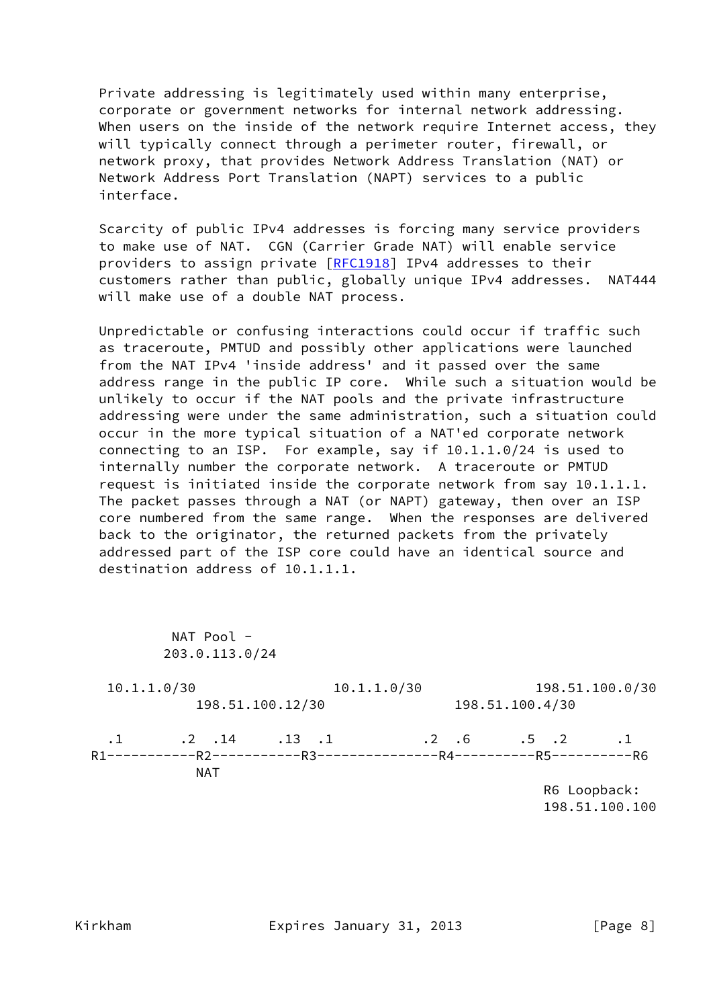Private addressing is legitimately used within many enterprise, corporate or government networks for internal network addressing. When users on the inside of the network require Internet access, they will typically connect through a perimeter router, firewall, or network proxy, that provides Network Address Translation (NAT) or Network Address Port Translation (NAPT) services to a public interface.

 Scarcity of public IPv4 addresses is forcing many service providers to make use of NAT. CGN (Carrier Grade NAT) will enable service providers to assign private [\[RFC1918](https://datatracker.ietf.org/doc/pdf/rfc1918)] IPv4 addresses to their customers rather than public, globally unique IPv4 addresses. NAT444 will make use of a double NAT process.

 Unpredictable or confusing interactions could occur if traffic such as traceroute, PMTUD and possibly other applications were launched from the NAT IPv4 'inside address' and it passed over the same address range in the public IP core. While such a situation would be unlikely to occur if the NAT pools and the private infrastructure addressing were under the same administration, such a situation could occur in the more typical situation of a NAT'ed corporate network connecting to an ISP. For example, say if 10.1.1.0/24 is used to internally number the corporate network. A traceroute or PMTUD request is initiated inside the corporate network from say 10.1.1.1. The packet passes through a NAT (or NAPT) gateway, then over an ISP core numbered from the same range. When the responses are delivered back to the originator, the returned packets from the privately addressed part of the ISP core could have an identical source and destination address of 10.1.1.1.

| NAT Pool $-$<br>203.0.113.0/24           |                  |             |                              |                 |
|------------------------------------------|------------------|-------------|------------------------------|-----------------|
| 10.1.1.0/30                              | 198.51.100.12/30 | 10.1.1.0/30 | 198.51.100.4/30              | 198.51.100.0/30 |
| $.1$ $.2$ $.14$ $.13$ $.1$<br><b>NAT</b> |                  |             | $.2 \t .6 \t .5 \t .2 \t .1$ | R6 Loopback:    |

 <sup>198.51.100.100</sup>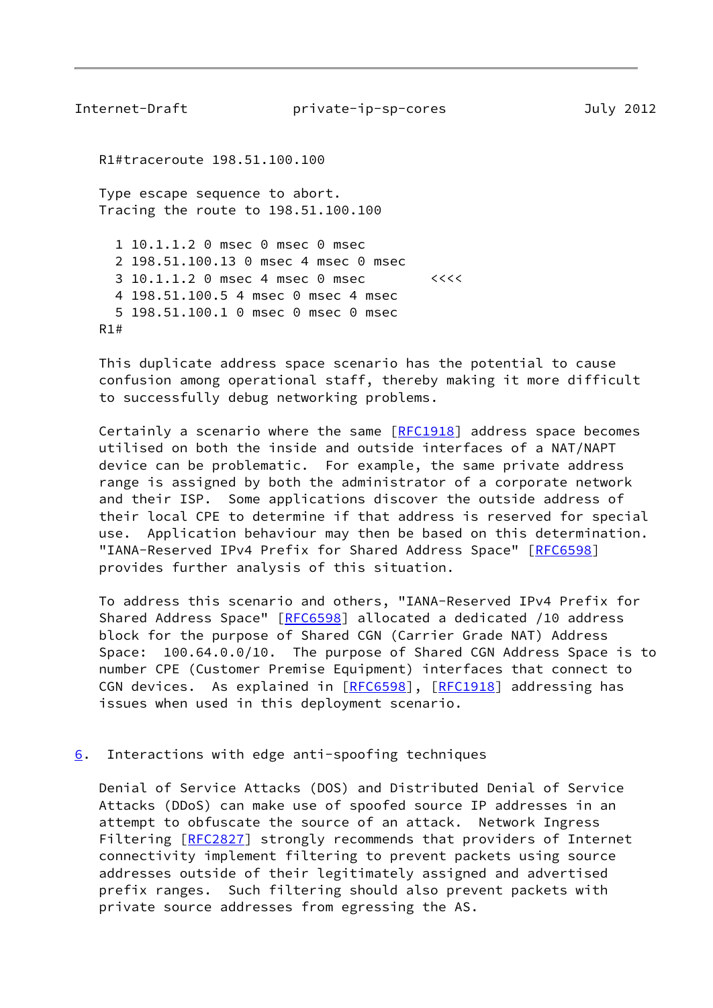<span id="page-9-1"></span>Internet-Draft private-ip-sp-cores July 2012 R1#traceroute 198.51.100.100 Type escape sequence to abort. Tracing the route to 198.51.100.100 1 10.1.1.2 0 msec 0 msec 0 msec 2 198.51.100.13 0 msec 4 msec 0 msec 3 10.1.1.2 0 msec 4 msec 0 msec <<<< 4 198.51.100.5 4 msec 0 msec 4 msec 5 198.51.100.1 0 msec 0 msec 0 msec R1#

 This duplicate address space scenario has the potential to cause confusion among operational staff, thereby making it more difficult to successfully debug networking problems.

 Certainly a scenario where the same [\[RFC1918](https://datatracker.ietf.org/doc/pdf/rfc1918)] address space becomes utilised on both the inside and outside interfaces of a NAT/NAPT device can be problematic. For example, the same private address range is assigned by both the administrator of a corporate network and their ISP. Some applications discover the outside address of their local CPE to determine if that address is reserved for special use. Application behaviour may then be based on this determination. "IANA-Reserved IPv4 Prefix for Shared Address Space" [\[RFC6598](https://datatracker.ietf.org/doc/pdf/rfc6598)] provides further analysis of this situation.

 To address this scenario and others, "IANA-Reserved IPv4 Prefix for Shared Address Space" [[RFC6598](https://datatracker.ietf.org/doc/pdf/rfc6598)] allocated a dedicated /10 address block for the purpose of Shared CGN (Carrier Grade NAT) Address Space: 100.64.0.0/10. The purpose of Shared CGN Address Space is to number CPE (Customer Premise Equipment) interfaces that connect to CGN devices. As explained in [[RFC6598](https://datatracker.ietf.org/doc/pdf/rfc6598)], [\[RFC1918](https://datatracker.ietf.org/doc/pdf/rfc1918)] addressing has issues when used in this deployment scenario.

#### <span id="page-9-0"></span> $6.$  $6.$  Interactions with edge anti-spoofing techniques

 Denial of Service Attacks (DOS) and Distributed Denial of Service Attacks (DDoS) can make use of spoofed source IP addresses in an attempt to obfuscate the source of an attack. Network Ingress Filtering [[RFC2827](https://datatracker.ietf.org/doc/pdf/rfc2827)] strongly recommends that providers of Internet connectivity implement filtering to prevent packets using source addresses outside of their legitimately assigned and advertised prefix ranges. Such filtering should also prevent packets with private source addresses from egressing the AS.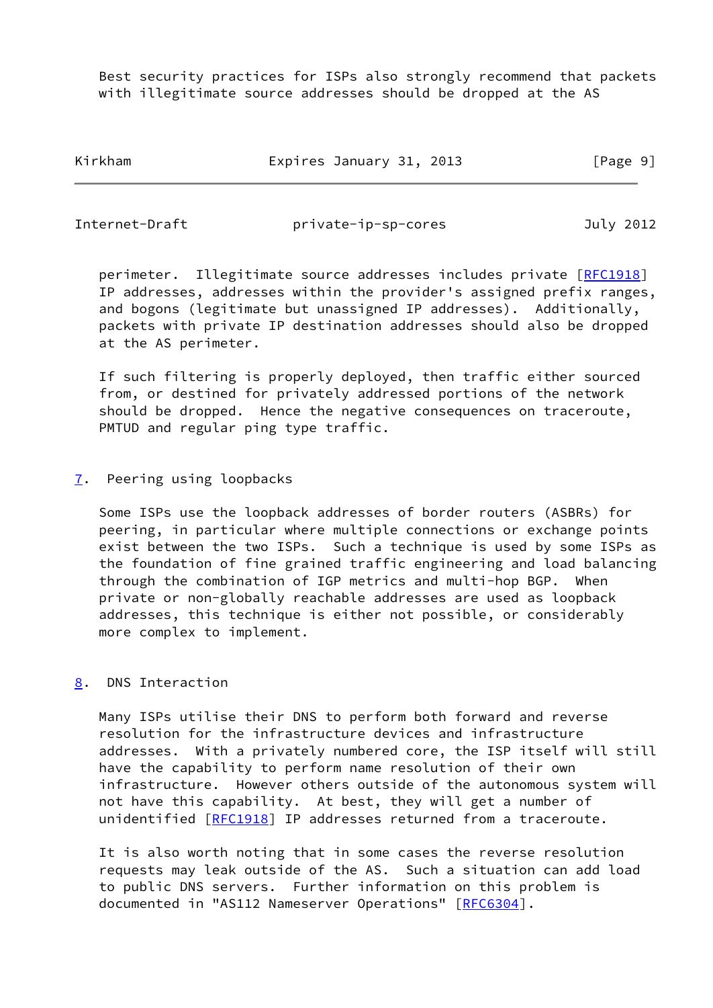Best security practices for ISPs also strongly recommend that packets with illegitimate source addresses should be dropped at the AS

Kirkham **Expires January 31, 2013** [Page 9]

<span id="page-10-1"></span>Internet-Draft private-ip-sp-cores July 2012

perimeter. Illegitimate source addresses includes private [[RFC1918\]](https://datatracker.ietf.org/doc/pdf/rfc1918) IP addresses, addresses within the provider's assigned prefix ranges, and bogons (legitimate but unassigned IP addresses). Additionally, packets with private IP destination addresses should also be dropped at the AS perimeter.

 If such filtering is properly deployed, then traffic either sourced from, or destined for privately addressed portions of the network should be dropped. Hence the negative consequences on traceroute, PMTUD and regular ping type traffic.

<span id="page-10-0"></span>[7](#page-10-0). Peering using loopbacks

 Some ISPs use the loopback addresses of border routers (ASBRs) for peering, in particular where multiple connections or exchange points exist between the two ISPs. Such a technique is used by some ISPs as the foundation of fine grained traffic engineering and load balancing through the combination of IGP metrics and multi-hop BGP. When private or non-globally reachable addresses are used as loopback addresses, this technique is either not possible, or considerably more complex to implement.

# <span id="page-10-2"></span>[8](#page-10-2). DNS Interaction

 Many ISPs utilise their DNS to perform both forward and reverse resolution for the infrastructure devices and infrastructure addresses. With a privately numbered core, the ISP itself will still have the capability to perform name resolution of their own infrastructure. However others outside of the autonomous system will not have this capability. At best, they will get a number of unidentified [\[RFC1918](https://datatracker.ietf.org/doc/pdf/rfc1918)] IP addresses returned from a traceroute.

 It is also worth noting that in some cases the reverse resolution requests may leak outside of the AS. Such a situation can add load to public DNS servers. Further information on this problem is documented in "AS112 Nameserver Operations" [\[RFC6304](https://datatracker.ietf.org/doc/pdf/rfc6304)].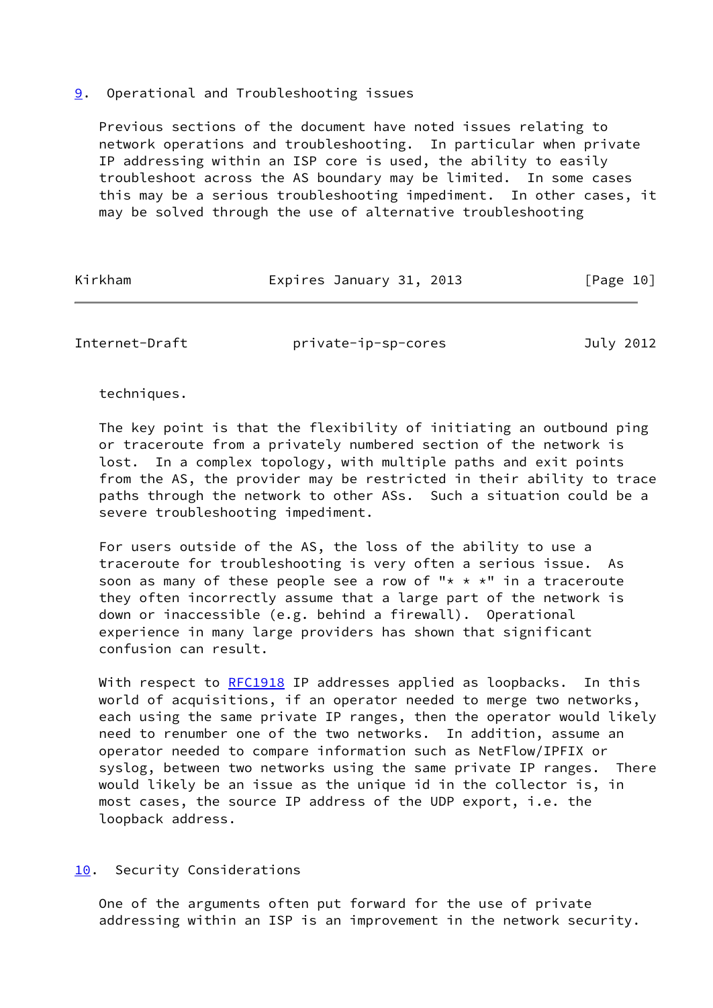### <span id="page-11-0"></span>[9](#page-11-0). Operational and Troubleshooting issues

 Previous sections of the document have noted issues relating to network operations and troubleshooting. In particular when private IP addressing within an ISP core is used, the ability to easily troubleshoot across the AS boundary may be limited. In some cases this may be a serious troubleshooting impediment. In other cases, it may be solved through the use of alternative troubleshooting

| Kirkham | Expires January 31, 2013 | [Page 10] |
|---------|--------------------------|-----------|
|         |                          |           |

<span id="page-11-2"></span>Internet-Draft private-ip-sp-cores July 2012

techniques.

 The key point is that the flexibility of initiating an outbound ping or traceroute from a privately numbered section of the network is lost. In a complex topology, with multiple paths and exit points from the AS, the provider may be restricted in their ability to trace paths through the network to other ASs. Such a situation could be a severe troubleshooting impediment.

 For users outside of the AS, the loss of the ability to use a traceroute for troubleshooting is very often a serious issue. As soon as many of these people see a row of "\* \* \*" in a traceroute they often incorrectly assume that a large part of the network is down or inaccessible (e.g. behind a firewall). Operational experience in many large providers has shown that significant confusion can result.

With respect to [RFC1918](https://datatracker.ietf.org/doc/pdf/rfc1918) IP addresses applied as loopbacks. In this world of acquisitions, if an operator needed to merge two networks, each using the same private IP ranges, then the operator would likely need to renumber one of the two networks. In addition, assume an operator needed to compare information such as NetFlow/IPFIX or syslog, between two networks using the same private IP ranges. There would likely be an issue as the unique id in the collector is, in most cases, the source IP address of the UDP export, i.e. the loopback address.

## <span id="page-11-1"></span>[10.](#page-11-1) Security Considerations

 One of the arguments often put forward for the use of private addressing within an ISP is an improvement in the network security.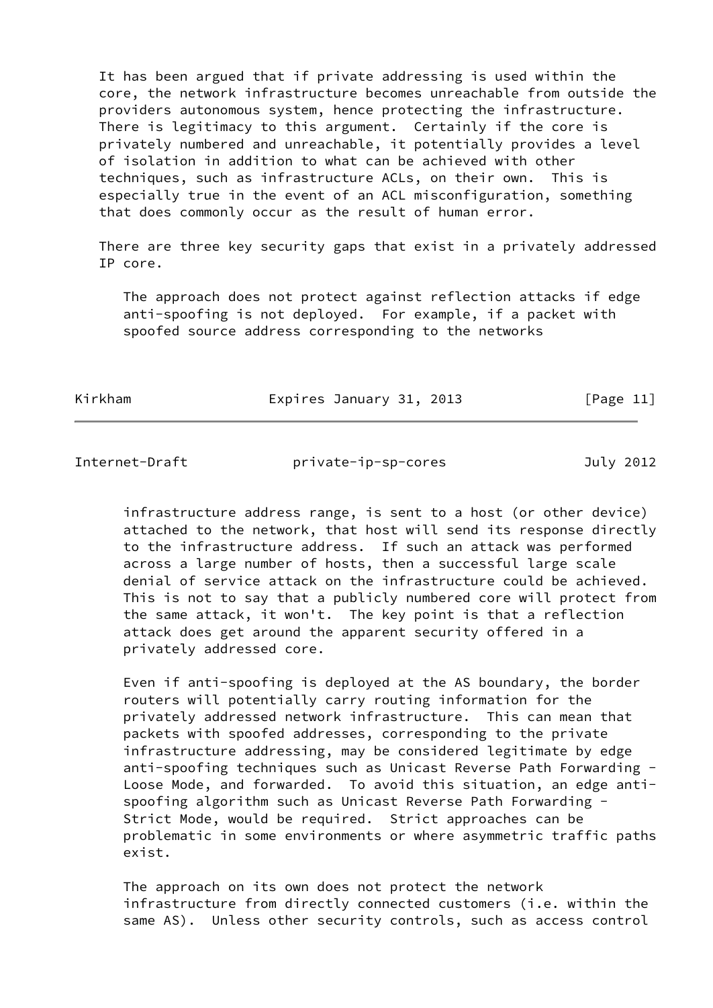It has been argued that if private addressing is used within the core, the network infrastructure becomes unreachable from outside the providers autonomous system, hence protecting the infrastructure. There is legitimacy to this argument. Certainly if the core is privately numbered and unreachable, it potentially provides a level of isolation in addition to what can be achieved with other techniques, such as infrastructure ACLs, on their own. This is especially true in the event of an ACL misconfiguration, something that does commonly occur as the result of human error.

 There are three key security gaps that exist in a privately addressed IP core.

 The approach does not protect against reflection attacks if edge anti-spoofing is not deployed. For example, if a packet with spoofed source address corresponding to the networks

Kirkham **Expires January 31, 2013** [Page 11]

<span id="page-12-0"></span>Internet-Draft private-ip-sp-cores July 2012

 infrastructure address range, is sent to a host (or other device) attached to the network, that host will send its response directly to the infrastructure address. If such an attack was performed across a large number of hosts, then a successful large scale denial of service attack on the infrastructure could be achieved. This is not to say that a publicly numbered core will protect from the same attack, it won't. The key point is that a reflection attack does get around the apparent security offered in a privately addressed core.

 Even if anti-spoofing is deployed at the AS boundary, the border routers will potentially carry routing information for the privately addressed network infrastructure. This can mean that packets with spoofed addresses, corresponding to the private infrastructure addressing, may be considered legitimate by edge anti-spoofing techniques such as Unicast Reverse Path Forwarding - Loose Mode, and forwarded. To avoid this situation, an edge anti spoofing algorithm such as Unicast Reverse Path Forwarding - Strict Mode, would be required. Strict approaches can be problematic in some environments or where asymmetric traffic paths exist.

 The approach on its own does not protect the network infrastructure from directly connected customers (i.e. within the same AS). Unless other security controls, such as access control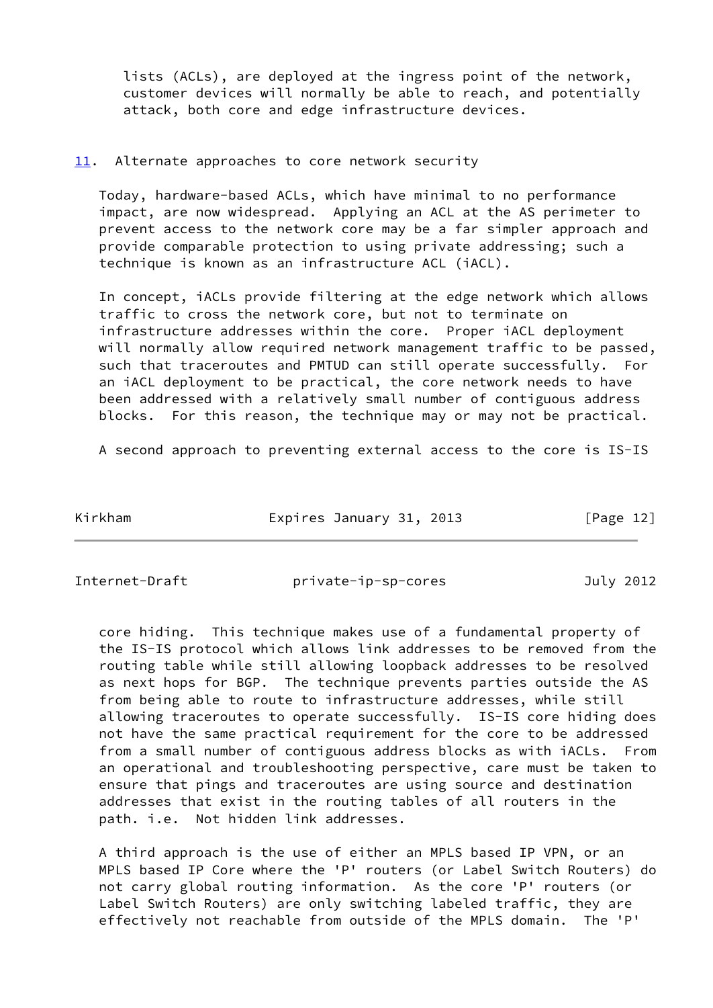lists (ACLs), are deployed at the ingress point of the network, customer devices will normally be able to reach, and potentially attack, both core and edge infrastructure devices.

### <span id="page-13-0"></span>[11.](#page-13-0) Alternate approaches to core network security

 Today, hardware-based ACLs, which have minimal to no performance impact, are now widespread. Applying an ACL at the AS perimeter to prevent access to the network core may be a far simpler approach and provide comparable protection to using private addressing; such a technique is known as an infrastructure ACL (iACL).

 In concept, iACLs provide filtering at the edge network which allows traffic to cross the network core, but not to terminate on infrastructure addresses within the core. Proper iACL deployment will normally allow required network management traffic to be passed, such that traceroutes and PMTUD can still operate successfully. For an iACL deployment to be practical, the core network needs to have been addressed with a relatively small number of contiguous address blocks. For this reason, the technique may or may not be practical.

A second approach to preventing external access to the core is IS-IS

| Kirkham | Expires January 31, 2013 | [Page 12] |
|---------|--------------------------|-----------|
|         |                          |           |

<span id="page-13-1"></span>

Internet-Draft private-ip-sp-cores July 2012

 core hiding. This technique makes use of a fundamental property of the IS-IS protocol which allows link addresses to be removed from the routing table while still allowing loopback addresses to be resolved as next hops for BGP. The technique prevents parties outside the AS from being able to route to infrastructure addresses, while still allowing traceroutes to operate successfully. IS-IS core hiding does not have the same practical requirement for the core to be addressed from a small number of contiguous address blocks as with iACLs. From an operational and troubleshooting perspective, care must be taken to ensure that pings and traceroutes are using source and destination addresses that exist in the routing tables of all routers in the path. i.e. Not hidden link addresses.

 A third approach is the use of either an MPLS based IP VPN, or an MPLS based IP Core where the 'P' routers (or Label Switch Routers) do not carry global routing information. As the core 'P' routers (or Label Switch Routers) are only switching labeled traffic, they are effectively not reachable from outside of the MPLS domain. The 'P'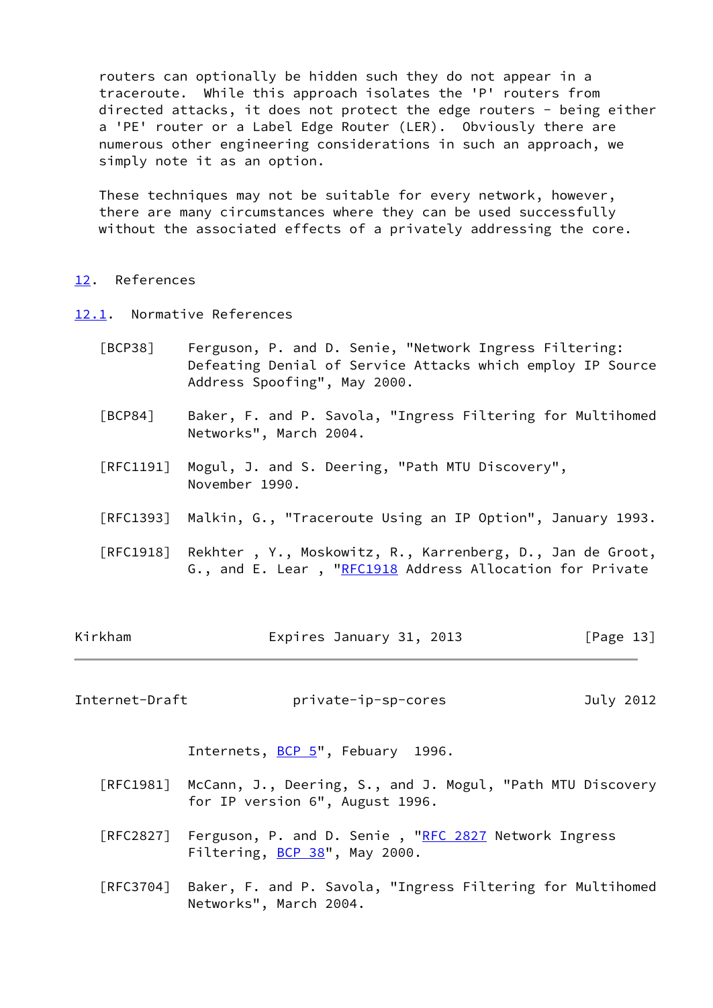routers can optionally be hidden such they do not appear in a traceroute. While this approach isolates the 'P' routers from directed attacks, it does not protect the edge routers - being either a 'PE' router or a Label Edge Router (LER). Obviously there are numerous other engineering considerations in such an approach, we simply note it as an option.

 These techniques may not be suitable for every network, however, there are many circumstances where they can be used successfully without the associated effects of a privately addressing the core.

#### <span id="page-14-0"></span>[12.](#page-14-0) References

- <span id="page-14-3"></span><span id="page-14-1"></span>[12.1](#page-14-1). Normative References
	- [BCP38] Ferguson, P. and D. Senie, "Network Ingress Filtering: Defeating Denial of Service Attacks which employ IP Source Address Spoofing", May 2000.
	- [BCP84] Baker, F. and P. Savola, "Ingress Filtering for Multihomed Networks", March 2004.
	- [RFC1191] Mogul, J. and S. Deering, "Path MTU Discovery", November 1990.
	- [RFC1393] Malkin, G., "Traceroute Using an IP Option", January 1993.
	- [RFC1918] Rekhter , Y., Moskowitz, R., Karrenberg, D., Jan de Groot, G., and E. Lear, ["RFC1918](https://datatracker.ietf.org/doc/pdf/rfc1918) Address Allocation for Private

| Kirkham | Expires January 31, 2013 |  | [Page 13] |
|---------|--------------------------|--|-----------|
|---------|--------------------------|--|-----------|

<span id="page-14-2"></span>Internet-Draft private-ip-sp-cores July 2012

Internets, [BCP 5"](https://datatracker.ietf.org/doc/pdf/bcp5), Febuary 1996.

- [RFC1981] McCann, J., Deering, S., and J. Mogul, "Path MTU Discovery for IP version 6", August 1996.
- [RFC2827] Ferguson, P. and D. Senie, ["RFC 2827](https://datatracker.ietf.org/doc/pdf/rfc2827) Network Ingress Filtering, [BCP 38](https://datatracker.ietf.org/doc/pdf/bcp38)", May 2000.
- [RFC3704] Baker, F. and P. Savola, "Ingress Filtering for Multihomed Networks", March 2004.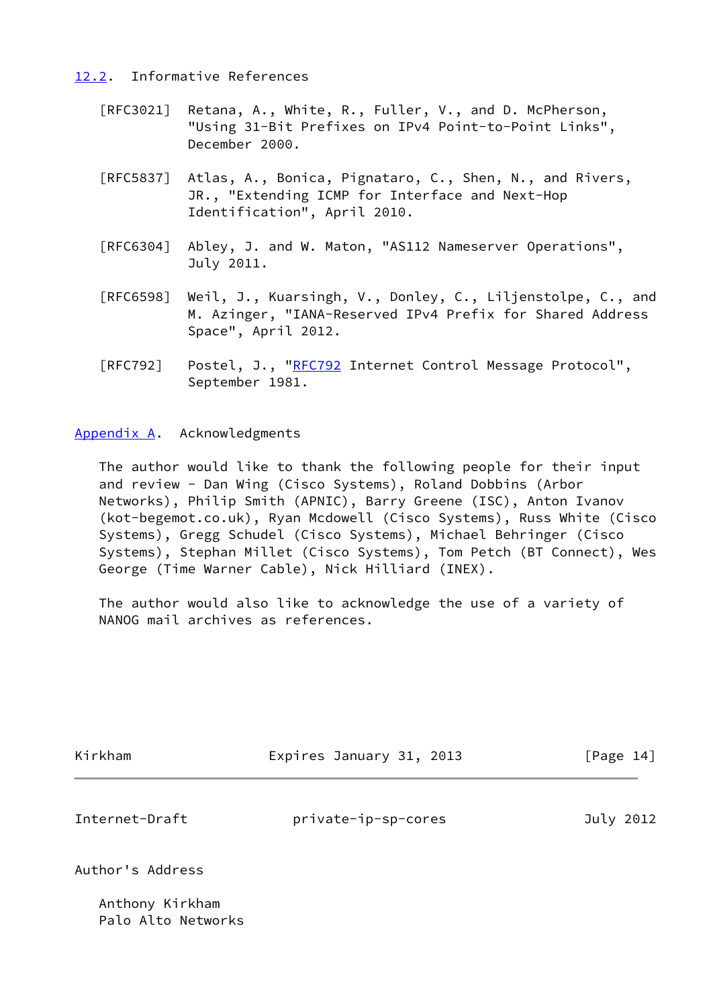## <span id="page-15-0"></span>[12.2](#page-15-0). Informative References

- [RFC3021] Retana, A., White, R., Fuller, V., and D. McPherson, "Using 31-Bit Prefixes on IPv4 Point-to-Point Links", December 2000.
- [RFC5837] Atlas, A., Bonica, Pignataro, C., Shen, N., and Rivers, JR., "Extending ICMP for Interface and Next-Hop Identification", April 2010.
- [RFC6304] Abley, J. and W. Maton, "AS112 Nameserver Operations", July 2011.
- [RFC6598] Weil, J., Kuarsingh, V., Donley, C., Liljenstolpe, C., and M. Azinger, "IANA-Reserved IPv4 Prefix for Shared Address Space", April 2012.
- [RFC792] Postel, J., ["RFC792](https://datatracker.ietf.org/doc/pdf/rfc792) Internet Control Message Protocol", September 1981.

## <span id="page-15-1"></span>[Appendix A.](#page-15-1) Acknowledgments

 The author would like to thank the following people for their input and review - Dan Wing (Cisco Systems), Roland Dobbins (Arbor Networks), Philip Smith (APNIC), Barry Greene (ISC), Anton Ivanov (kot-begemot.co.uk), Ryan Mcdowell (Cisco Systems), Russ White (Cisco Systems), Gregg Schudel (Cisco Systems), Michael Behringer (Cisco Systems), Stephan Millet (Cisco Systems), Tom Petch (BT Connect), Wes George (Time Warner Cable), Nick Hilliard (INEX).

 The author would also like to acknowledge the use of a variety of NANOG mail archives as references.

| Kirkham | Expires January 31, 2013 | [Page 14] |
|---------|--------------------------|-----------|
|         |                          |           |

Internet-Draft private-ip-sp-cores July 2012

## Author's Address

 Anthony Kirkham Palo Alto Networks